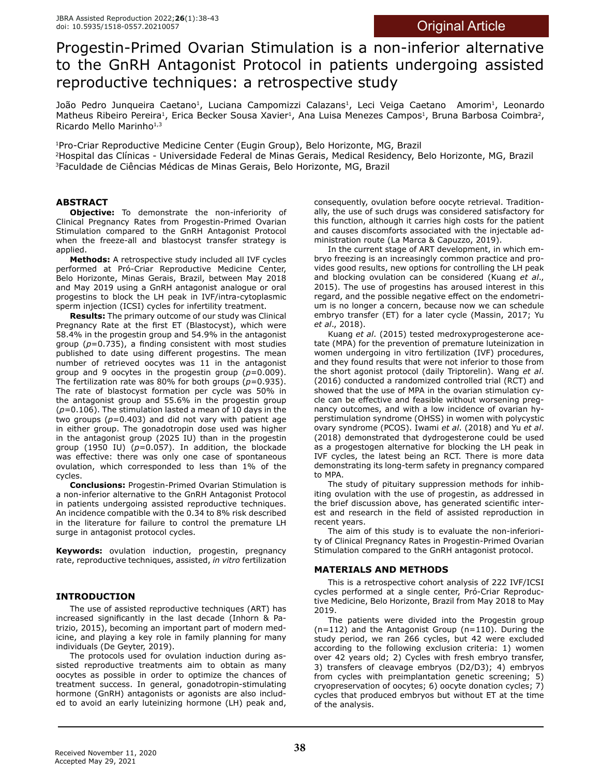# Progestin-Primed Ovarian Stimulation is a non-inferior alternative to the GnRH Antagonist Protocol in patients undergoing assisted reproductive techniques: a retrospective study

João Pedro Junqueira Caetano<sup>1</sup>, Luciana Campomizzi Calazans<sup>1</sup>, Leci Veiga Caetano Amorim<sup>1</sup>, Leonardo Matheus Ribeiro Pereira<sup>1</sup>, Erica Becker Sousa Xavier<sup>1</sup>, Ana Luisa Menezes Campos<sup>1</sup>, Bruna Barbosa Coimbra<sup>2</sup>, Ricardo Mello Marinho $1,3$ 

1Pro-Criar Reproductive Medicine Center (Eugin Group), Belo Horizonte, MG, Brazil

2Hospital das Clínicas - Universidade Federal de Minas Gerais, Medical Residency, Belo Horizonte, MG, Brazil 3Faculdade de Ciências Médicas de Minas Gerais, Belo Horizonte, MG, Brazil

# **ABSTRACT**

**Objective:** To demonstrate the non-inferiority of Clinical Pregnancy Rates from Progestin-Primed Ovarian Stimulation compared to the GnRH Antagonist Protocol when the freeze-all and blastocyst transfer strategy is applied.

**Methods:** A retrospective study included all IVF cycles performed at Pró-Criar Reproductive Medicine Center, Belo Horizonte, Minas Gerais, Brazil, between May 2018 and May 2019 using a GnRH antagonist analogue or oral progestins to block the LH peak in IVF/intra-cytoplasmic sperm injection (ICSI) cycles for infertility treatment.

**Results:** The primary outcome of our study was Clinical Pregnancy Rate at the first ET (Blastocyst), which were 58.4% in the progestin group and 54.9% in the antagonist group (*p*=0.735), a finding consistent with most studies published to date using different progestins. The mean number of retrieved oocytes was 11 in the antagonist group and 9 oocytes in the progestin group (*p*=0.009). The fertilization rate was 80% for both groups  $(p=0.935)$ . The rate of blastocyst formation per cycle was 50% in the antagonist group and 55.6% in the progestin group (*p*=0.106). The stimulation lasted a mean of 10 days in the two groups (*p*=0.403) and did not vary with patient age in either group. The gonadotropin dose used was higher in the antagonist group (2025 IU) than in the progestin group (1950 IU) (*p*=0.057). In addition, the blockade was effective: there was only one case of spontaneous ovulation, which corresponded to less than 1% of the cycles.

**Conclusions:** Progestin-Primed Ovarian Stimulation is a non-inferior alternative to the GnRH Antagonist Protocol in patients undergoing assisted reproductive techniques. An incidence compatible with the 0.34 to 8% risk described in the literature for failure to control the premature LH surge in antagonist protocol cycles.

**Keywords:** ovulation induction, progestin, pregnancy rate, reproductive techniques, assisted, *in vitro* fertilization

## **INTRODUCTION**

The use of assisted reproductive techniques (ART) has increased significantly in the last decade (Inhorn & Patrizio, 2015), becoming an important part of modern medicine, and playing a key role in family planning for many individuals (De Geyter, 2019).

The protocols used for ovulation induction during assisted reproductive treatments aim to obtain as many oocytes as possible in order to optimize the chances of treatment success. In general, gonadotropin-stimulating hormone (GnRH) antagonists or agonists are also included to avoid an early luteinizing hormone (LH) peak and,

consequently, ovulation before oocyte retrieval. Traditionally, the use of such drugs was considered satisfactory for this function, although it carries high costs for the patient and causes discomforts associated with the injectable administration route (La Marca & Capuzzo, 2019).

In the current stage of ART development, in which embryo freezing is an increasingly common practice and provides good results, new options for controlling the LH peak and blocking ovulation can be considered (Kuang *et al*., 2015). The use of progestins has aroused interest in this regard, and the possible negative effect on the endometrium is no longer a concern, because now we can schedule embryo transfer (ET) for a later cycle (Massin, 2017; Yu *et al*., 2018).

Kuang *et al*. (2015) tested medroxyprogesterone acetate (MPA) for the prevention of premature luteinization in women undergoing in vitro fertilization (IVF) procedures, and they found results that were not inferior to those from the short agonist protocol (daily Triptorelin). Wang *et al*. (2016) conducted a randomized controlled trial (RCT) and showed that the use of MPA in the ovarian stimulation cycle can be effective and feasible without worsening pregnancy outcomes, and with a low incidence of ovarian hyperstimulation syndrome (OHSS) in women with polycystic ovary syndrome (PCOS). Iwami *et al*. (2018) and Yu *et al*. (2018) demonstrated that dydrogesterone could be used as a progestogen alternative for blocking the LH peak in IVF cycles, the latest being an RCT. There is more data demonstrating its long-term safety in pregnancy compared to MPA.

The study of pituitary suppression methods for inhibiting ovulation with the use of progestin, as addressed in the brief discussion above, has generated scientific interest and research in the field of assisted reproduction in recent years.

The aim of this study is to evaluate the non-inferiority of Clinical Pregnancy Rates in Progestin-Primed Ovarian Stimulation compared to the GnRH antagonist protocol.

## **MATERIALS AND METHODS**

This is a retrospective cohort analysis of 222 IVF/ICSI cycles performed at a single center, Pró-Criar Reproductive Medicine, Belo Horizonte, Brazil from May 2018 to May 2019.

The patients were divided into the Progestin group (n=112) and the Antagonist Group (n=110). During the study period, we ran 266 cycles, but 42 were excluded according to the following exclusion criteria: 1) women over 42 years old; 2) Cycles with fresh embryo transfer, 3) transfers of cleavage embryos (D2/D3); 4) embryos from cycles with preimplantation genetic screening; 5) cryopreservation of oocytes; 6) oocyte donation cycles; 7) cycles that produced embryos but without ET at the time of the analysis.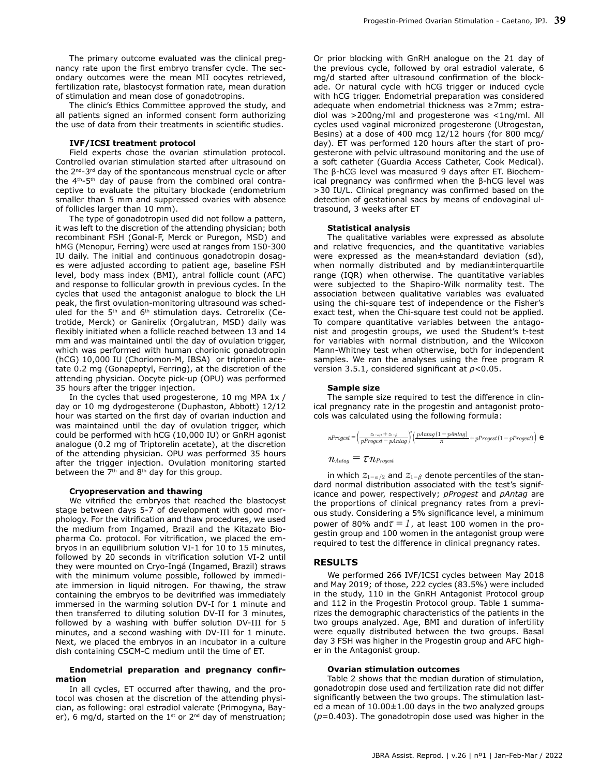The primary outcome evaluated was the clinical pregnancy rate upon the first embryo transfer cycle. The secondary outcomes were the mean MII oocytes retrieved, fertilization rate, blastocyst formation rate, mean duration of stimulation and mean dose of gonadotropins.

The clinic's Ethics Committee approved the study, and all patients signed an informed consent form authorizing the use of data from their treatments in scientific studies.

### **IVF/ICSI treatment protocol**

Field experts chose the ovarian stimulation protocol. Controlled ovarian stimulation started after ultrasound on the 2<sup>nd</sup>-3<sup>rd</sup> day of the spontaneous menstrual cycle or after the  $4<sup>th</sup> - 5<sup>th</sup>$  day of pause from the combined oral contraceptive to evaluate the pituitary blockade (endometrium smaller than 5 mm and suppressed ovaries with absence of follicles larger than 10 mm).

The type of gonadotropin used did not follow a pattern, it was left to the discretion of the attending physician; both recombinant FSH (Gonal-F, Merck or Puregon, MSD) and hMG (Menopur, Ferring) were used at ranges from 150-300 IU daily. The initial and continuous gonadotropin dosages were adjusted according to patient age, baseline FSH level, body mass index (BMI), antral follicle count (AFC) and response to follicular growth in previous cycles. In the cycles that used the antagonist analogue to block the LH peak, the first ovulation-monitoring ultrasound was scheduled for the 5<sup>th</sup> and 6<sup>th</sup> stimulation days. Cetrorelix (Cetrotide, Merck) or Ganirelix (Orgalutran, MSD) daily was flexibly initiated when a follicle reached between 13 and 14 mm and was maintained until the day of ovulation trigger, which was performed with human chorionic gonadotropin (hCG) 10,000 IU (Choriomon-M, IBSA) or triptorelin acetate 0.2 mg (Gonapeptyl, Ferring), at the discretion of the attending physician. Oocyte pick-up (OPU) was performed 35 hours after the trigger injection.

In the cycles that used progesterone, 10 mg MPA 1x / day or 10 mg dydrogesterone (Duphaston, Abbott) 12/12 hour was started on the first day of ovarian induction and was maintained until the day of ovulation trigger, which could be performed with hCG (10,000 IU) or GnRH agonist analogue (0.2 mg of Triptorelin acetate), at the discretion of the attending physician. OPU was performed 35 hours after the trigger injection. Ovulation monitoring started between the 7<sup>th</sup> and 8<sup>th</sup> day for this group.

#### **Cryopreservation and thawing**

We vitrified the embryos that reached the blastocyst stage between days 5-7 of development with good morphology. For the vitrification and thaw procedures, we used the medium from Ingamed, Brazil and the Kitazato Biopharma Co. protocol. For vitrification, we placed the embryos in an equilibrium solution VI-1 for 10 to 15 minutes, followed by 20 seconds in vitrification solution VI-2 until they were mounted on Cryo-Ingá (Ingamed, Brazil) straws with the minimum volume possible, followed by immediate immersion in liquid nitrogen. For thawing, the straw containing the embryos to be devitrified was immediately immersed in the warming solution DV-I for 1 minute and then transferred to diluting solution DV-II for 3 minutes, followed by a washing with buffer solution DV-III for 5 minutes, and a second washing with DV-III for 1 minute. Next, we placed the embryos in an incubator in a culture dish containing CSCM-C medium until the time of ET.

## **Endometrial preparation and pregnancy confirmation**

In all cycles, ET occurred after thawing, and the protocol was chosen at the discretion of the attending physician, as following: oral estradiol valerate (Primogyna, Bayer), 6 mg/d, started on the  $1^{st}$  or  $2^{nd}$  day of menstruation;

Or prior blocking with GnRH analogue on the 21 day of the previous cycle, followed by oral estradiol valerate, 6 mg/d started after ultrasound confirmation of the blockade. Or natural cycle with hCG trigger or induced cycle with hCG trigger. Endometrial preparation was considered adequate when endometrial thickness was ≥7mm; estradiol was >200ng/ml and progesterone was <1ng/ml. All cycles used vaginal micronized progesterone (Utrogestan, Besins) at a dose of 400 mcg 12/12 hours (for 800 mcg/ day). ET was performed 120 hours after the start of progesterone with pelvic ultrasound monitoring and the use of a soft catheter (Guardia Access Catheter, Cook Medical). The β-hCG level was measured 9 days after ET. Biochemical pregnancy was confirmed when the β-hCG level was >30 IU/L. Clinical pregnancy was confirmed based on the detection of gestational sacs by means of endovaginal ultrasound, 3 weeks after ET

#### **Statistical analysis**

The qualitative variables were expressed as absolute and relative frequencies, and the quantitative variables were expressed as the mean±standard deviation (sd), when normally distributed and by median±interquartile range (IQR) when otherwise. The quantitative variables were subjected to the Shapiro-Wilk normality test. The association between qualitative variables was evaluated using the chi-square test of independence or the Fisher's exact test, when the Chi-square test could not be applied. To compare quantitative variables between the antagonist and progestin groups, we used the Student's t-test for variables with normal distribution, and the Wilcoxon Mann-Whitney test when otherwise, both for independent samples. We ran the analyses using the free program R version 3.5.1, considered significant at *p*<0.05.

#### **Sample size**

The sample size required to test the difference in clinical pregnancy rate in the progestin and antagonist protocols was calculated using the following formula:

$$
n\text{Progest} = \left(\frac{z_{1-s/2} + z_{1-\beta}}{p\text{Progest} - p\text{Andag}}\right)^2 \left(\frac{p\text{Andag}(1-p\text{Andag})}{\pi} + p\text{Progest}(1-p\text{Progest})\right) \text{ e}
$$
  

$$
n\text{Andag} = \tau n\text{Progest}
$$

in which  $z_{1-\alpha/2}$  and  $z_{1-\beta}$  denote percentiles of the standard normal distribution associated with the test's significance and power, respectively; *pProgest* and *pAntag* are the proportions of clinical pregnancy rates from a previous study. Considering a 5% significance level, a minimum power of 80% and $\tau = 1$ , at least 100 women in the progestin group and 100 women in the antagonist group were required to test the difference in clinical pregnancy rates.

## **RESULTS**

We performed 266 IVF/ICSI cycles between May 2018 and May 2019; of those, 222 cycles (83.5%) were included in the study, 110 in the GnRH Antagonist Protocol group and 112 in the Progestin Protocol group. Table 1 summarizes the demographic characteristics of the patients in the two groups analyzed. Age, BMI and duration of infertility were equally distributed between the two groups. Basal day 3 FSH was higher in the Progestin group and AFC higher in the Antagonist group.

#### **Ovarian stimulation outcomes**

Table 2 shows that the median duration of stimulation, gonadotropin dose used and fertilization rate did not differ significantly between the two groups. The stimulation lasted a mean of 10.00±1.00 days in the two analyzed groups (*p*=0.403). The gonadotropin dose used was higher in the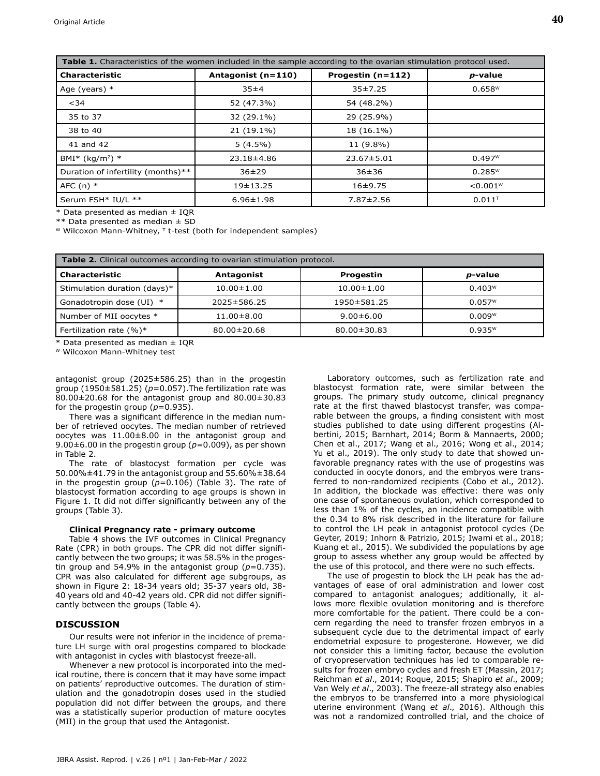| Table 1. Characteristics of the women included in the sample according to the ovarian stimulation protocol used. |                    |                   |                      |  |  |
|------------------------------------------------------------------------------------------------------------------|--------------------|-------------------|----------------------|--|--|
| <b>Characteristic</b>                                                                                            | Antagonist (n=110) | Progestin (n=112) | p-value              |  |  |
| Age (years) $*$                                                                                                  | 35±4               | 35±7.25           | $0.658$ <sup>w</sup> |  |  |
| $34$                                                                                                             | 52 (47.3%)         | 54 (48.2%)        |                      |  |  |
| 35 to 37                                                                                                         | 32 (29.1%)         | 29 (25.9%)        |                      |  |  |
| 38 to 40                                                                                                         | 21 (19.1%)         | 18 (16.1%)        |                      |  |  |
| 41 and 42                                                                                                        | $5(4.5\%)$         | 11 (9.8%)         |                      |  |  |
| BMI* (kg/m <sup>2</sup> ) *                                                                                      | 23.18±4.86         | $23.67 \pm 5.01$  | 0.497W               |  |  |
| Duration of infertility (months)**                                                                               | $36 \pm 29$        | $36 + 36$         | $0.285^{w}$          |  |  |
| AFC $(n)$ *                                                                                                      | $19 + 13.25$       | $16+9.75$         | < 0.001W             |  |  |
| Serum FSH* IU/L **                                                                                               | $6.96 \pm 1.98$    | $7.87 \pm 2.56$   | $0.011^{T}$          |  |  |

\* Data presented as median ± IQR

\*\* Data presented as median ± SD

W Wilcoxon Mann-Whitney, T t-test (both for independent samples)

| <b>Table 2.</b> Clinical outcomes according to ovarian stimulation protocol. |                   |                   |                      |  |  |
|------------------------------------------------------------------------------|-------------------|-------------------|----------------------|--|--|
| <b>Characteristic</b>                                                        | Antagonist        | Progestin         | <i>p</i> -value      |  |  |
| Stimulation duration (days)*                                                 | $10.00 \pm 1.00$  | $10.00 \pm 1.00$  | 0.403W               |  |  |
| Gonadotropin dose (UI) *                                                     | 2025±586.25       | 1950±581.25       | $0.057$ <sup>w</sup> |  |  |
| Number of MII oocytes *                                                      | $11.00 \pm 8.00$  | $9.00 \pm 6.00$   | 0.009w               |  |  |
| Fertilization rate $(%)^*$                                                   | $80.00 \pm 20.68$ | $80.00 \pm 30.83$ | $0.935^{w}$          |  |  |

\* Data presented as median ± IQR

W Wilcoxon Mann-Whitney test

antagonist group (2025±586.25) than in the progestin group (1950±581.25) (*p*=0.057).The fertilization rate was 80.00±20.68 for the antagonist group and 80.00±30.83 for the progestin group  $(p=0.935)$ .

There was a significant difference in the median number of retrieved oocytes. The median number of retrieved oocytes was 11.00±8.00 in the antagonist group and 9.00±6.00 in the progestin group (*p*=0.009), as per shown in Table 2.

The rate of blastocyst formation per cycle was 50.00%±41.79 in the antagonist group and 55.60%±38.64 in the progestin group  $(p=0.106)$  (Table 3). The rate of blastocyst formation according to age groups is shown in Figure 1. It did not differ significantly between any of the groups (Table 3).

## **Clinical Pregnancy rate - primary outcome**

Table 4 shows the IVF outcomes in Clinical Pregnancy Rate (CPR) in both groups. The CPR did not differ significantly between the two groups; it was 58.5% in the progestin group and 54.9% in the antagonist group  $(p=0.735)$ . CPR was also calculated for different age subgroups, as shown in Figure 2: 18-34 years old; 35-37 years old, 38- 40 years old and 40-42 years old. CPR did not differ significantly between the groups (Table 4).

## **DISCUSSION**

Our results were not inferior in the incidence of premature LH surge with oral progestins compared to blockade with antagonist in cycles with blastocyst freeze-all.

Whenever a new protocol is incorporated into the medical routine, there is concern that it may have some impact on patients' reproductive outcomes. The duration of stimulation and the gonadotropin doses used in the studied population did not differ between the groups, and there was a statistically superior production of mature oocytes (MII) in the group that used the Antagonist.

Laboratory outcomes, such as fertilization rate and blastocyst formation rate, were similar between the groups. The primary study outcome, clinical pregnancy rate at the first thawed blastocyst transfer, was comparable between the groups, a finding consistent with most studies published to date using different progestins (Albertini, 2015; Barnhart, 2014; Borm & Mannaerts, 2000; Chen et al., 2017; Wang et al., 2016; Wong et al., 2014; Yu et al., 2019). The only study to date that showed unfavorable pregnancy rates with the use of progestins was conducted in oocyte donors, and the embryos were transferred to non-randomized recipients (Cobo et al., 2012). In addition, the blockade was effective: there was only one case of spontaneous ovulation, which corresponded to less than 1% of the cycles, an incidence compatible with the 0.34 to 8% risk described in the literature for failure to control the LH peak in antagonist protocol cycles (De Geyter, 2019; Inhorn & Patrizio, 2015; Iwami et al., 2018; Kuang et al., 2015). We subdivided the populations by age group to assess whether any group would be affected by the use of this protocol, and there were no such effects.

The use of progestin to block the LH peak has the advantages of ease of oral administration and lower cost compared to antagonist analogues; additionally, it allows more flexible ovulation monitoring and is therefore more comfortable for the patient. There could be a concern regarding the need to transfer frozen embryos in a subsequent cycle due to the detrimental impact of early endometrial exposure to progesterone. However, we did not consider this a limiting factor, because the evolution of cryopreservation techniques has led to comparable results for frozen embryo cycles and fresh ET (Massin, 2017; Reichman *et al*., 2014; Roque, 2015; Shapiro *et al*., 2009; Van Wely *et al*., 2003). The freeze-all strategy also enables the embryos to be transferred into a more physiological uterine environment (Wang *et al*., 2016). Although this was not a randomized controlled trial, and the choice of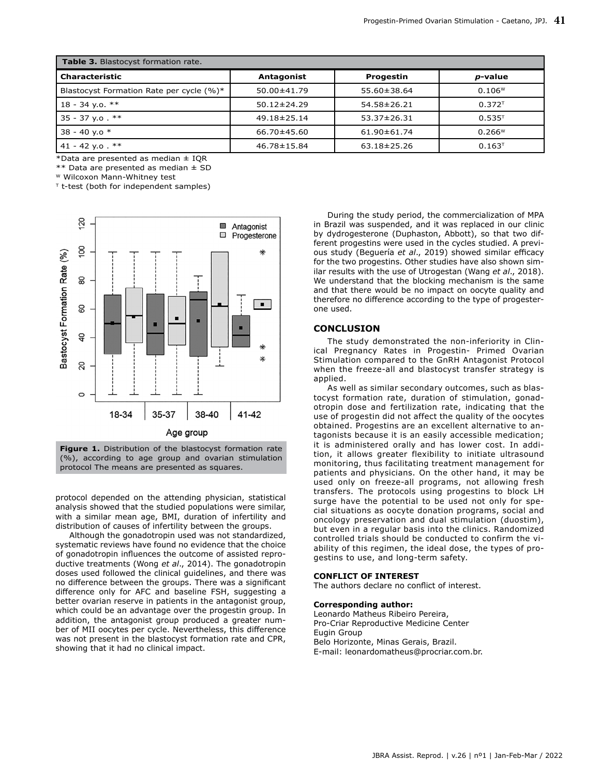| Table 3. Blastocyst formation rate.      |                   |                   |                 |  |  |
|------------------------------------------|-------------------|-------------------|-----------------|--|--|
| <b>Characteristic</b>                    | Antagonist        | Progestin         | <i>p</i> -value |  |  |
| Blastocyst Formation Rate per cycle (%)* | $50.00 \pm 41.79$ | 55.60±38.64       | 0.106W          |  |  |
| $18 - 34$ y.o. **                        | $50.12 \pm 24.29$ | $54.58 \pm 26.21$ | $0.372^{T}$     |  |  |
| $35 - 37$ y.o. **                        | 49.18±25.14       | $53.37 \pm 26.31$ | $0.535^{T}$     |  |  |
| 38 - 40 y.o $*$                          | 66.70±45.60       | $61.90 \pm 61.74$ | 0.266W          |  |  |
| 41 - 42 y.o. $**$                        | 46.78±15.84       | $63.18 \pm 25.26$ | $0.163^{T}$     |  |  |

\*Data are presented as median  $\pm$  IQR

\*\* Data are presented as median ± SD

W Wilcoxon Mann-Whitney test

 $T$  t-test (both for independent samples)



**Figure 1.** Distribution of the blastocyst formation rate (%), according to age group and ovarian stimulation protocol The means are presented as squares.

protocol depended on the attending physician, statistical analysis showed that the studied populations were similar, with a similar mean age, BMI, duration of infertility and distribution of causes of infertility between the groups.

Although the gonadotropin used was not standardized, systematic reviews have found no evidence that the choice of gonadotropin influences the outcome of assisted reproductive treatments (Wong *et al*., 2014). The gonadotropin doses used followed the clinical guidelines, and there was no difference between the groups. There was a significant difference only for AFC and baseline FSH, suggesting a better ovarian reserve in patients in the antagonist group, which could be an advantage over the progestin group. In addition, the antagonist group produced a greater number of MII oocytes per cycle. Nevertheless, this difference was not present in the blastocyst formation rate and CPR, showing that it had no clinical impact.

During the study period, the commercialization of MPA in Brazil was suspended, and it was replaced in our clinic by dydrogesterone (Duphaston, Abbott), so that two different progestins were used in the cycles studied. A previous study (Beguería *et al*., 2019) showed similar efficacy for the two progestins. Other studies have also shown similar results with the use of Utrogestan (Wang *et al*., 2018). We understand that the blocking mechanism is the same and that there would be no impact on oocyte quality and therefore no difference according to the type of progesterone used.

## **CONCLUSION**

The study demonstrated the non-inferiority in Clinical Pregnancy Rates in Progestin- Primed Ovarian Stimulation compared to the GnRH Antagonist Protocol when the freeze-all and blastocyst transfer strategy is applied.

As well as similar secondary outcomes, such as blastocyst formation rate, duration of stimulation, gonadotropin dose and fertilization rate, indicating that the use of progestin did not affect the quality of the oocytes obtained. Progestins are an excellent alternative to antagonists because it is an easily accessible medication; it is administered orally and has lower cost. In addition, it allows greater flexibility to initiate ultrasound monitoring, thus facilitating treatment management for patients and physicians. On the other hand, it may be used only on freeze-all programs, not allowing fresh transfers. The protocols using progestins to block LH surge have the potential to be used not only for special situations as oocyte donation programs, social and oncology preservation and dual stimulation (duostim), but even in a regular basis into the clinics. Randomized controlled trials should be conducted to confirm the viability of this regimen, the ideal dose, the types of progestins to use, and long-term safety.

## **CONFLICT OF INTEREST**

The authors declare no conflict of interest.

## **Corresponding author:**

Leonardo Matheus Ribeiro Pereira, Pro-Criar Reproductive Medicine Center Eugin Group Belo Horizonte, Minas Gerais, Brazil. E-mail: leonardomatheus@procriar.com.br.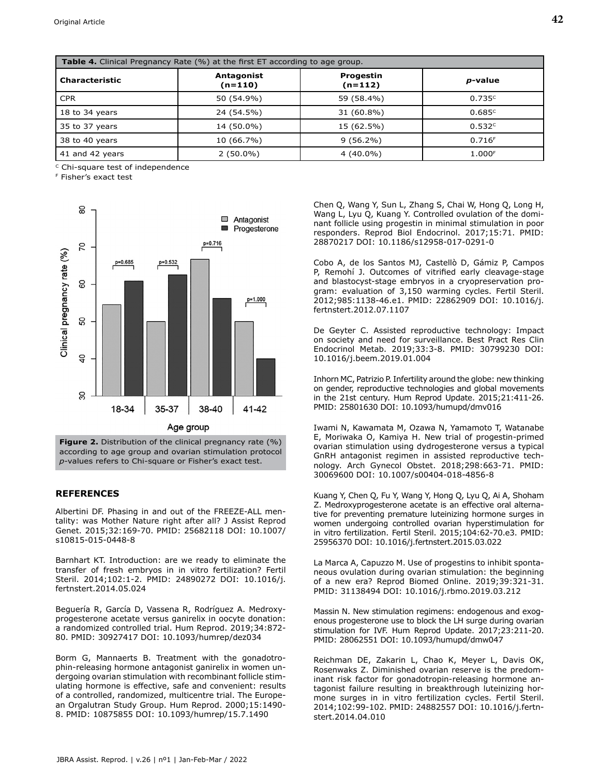| <b>Table 4.</b> Clinical Pregnancy Rate (%) at the first ET according to age group. |                       |                        |                    |  |  |
|-------------------------------------------------------------------------------------|-----------------------|------------------------|--------------------|--|--|
| <b>Characteristic</b>                                                               | Antagonist<br>(n=110) | Progestin<br>$(n=112)$ | <i>p</i> -value    |  |  |
| <b>CPR</b>                                                                          | 50 (54.9%)            | 59 (58.4%)             | 0.735c             |  |  |
| 18 to 34 years                                                                      | 24 (54.5%)            | 31 (60.8%)             | 0.685c             |  |  |
| 35 to 37 years                                                                      | 14 (50.0%)            | 15 (62.5%)             | 0.532c             |  |  |
| 38 to 40 years                                                                      | 10 (66.7%)            | $9(56.2\%)$            | 0.716F             |  |  |
| 41 and 42 years                                                                     | $2(50.0\%)$           | $4(40.0\%)$            | 1.000 <sup>F</sup> |  |  |

c Chi-square test of independence

F Fisher's exact test



**Figure 2.** Distribution of the clinical pregnancy rate (%) according to age group and ovarian stimulation protocol *p*-values refers to Chi-square or Fisher's exact test.

## **REFERENCES**

Albertini DF. Phasing in and out of the FREEZE-ALL mentality: was Mother Nature right after all? J Assist Reprod Genet. 2015;32:169-70. PMID: 25682118 DOI: 10.1007/ s10815-015-0448-8

Barnhart KT. Introduction: are we ready to eliminate the transfer of fresh embryos in in vitro fertilization? Fertil Steril. 2014;102:1-2. PMID: 24890272 DOI: 10.1016/j. fertnstert.2014.05.024

Beguería R, García D, Vassena R, Rodríguez A. Medroxyprogesterone acetate versus ganirelix in oocyte donation: a randomized controlled trial. Hum Reprod. 2019;34:872- 80. PMID: 30927417 DOI: 10.1093/humrep/dez034

Borm G, Mannaerts B. Treatment with the gonadotrophin-releasing hormone antagonist ganirelix in women undergoing ovarian stimulation with recombinant follicle stimulating hormone is effective, safe and convenient: results of a controlled, randomized, multicentre trial. The European Orgalutran Study Group. Hum Reprod. 2000;15:1490- 8. PMID: 10875855 DOI: 10.1093/humrep/15.7.1490

Chen Q, Wang Y, Sun L, Zhang S, Chai W, Hong Q, Long H, Wang L, Lyu Q, Kuang Y. Controlled ovulation of the dominant follicle using progestin in minimal stimulation in poor responders. Reprod Biol Endocrinol. 2017;15:71. PMID: 28870217 DOI: 10.1186/s12958-017-0291-0

Cobo A, de los Santos MJ, Castellò D, Gámiz P, Campos P, Remohí J. Outcomes of vitrified early cleavage-stage and blastocyst-stage embryos in a cryopreservation program: evaluation of 3,150 warming cycles. Fertil Steril. 2012;985:1138-46.e1. PMID: 22862909 DOI: 10.1016/j. fertnstert.2012.07.1107

De Geyter C. Assisted reproductive technology: Impact on society and need for surveillance. Best Pract Res Clin Endocrinol Metab. 2019;33:3-8. PMID: 30799230 DOI: 10.1016/j.beem.2019.01.004

Inhorn MC, Patrizio P. Infertility around the globe: new thinking on gender, reproductive technologies and global movements in the 21st century. Hum Reprod Update. 2015;21:411-26. PMID: 25801630 DOI: 10.1093/humupd/dmv016

Iwami N, Kawamata M, Ozawa N, Yamamoto T, Watanabe E, Moriwaka O, Kamiya H. New trial of progestin-primed ovarian stimulation using dydrogesterone versus a typical GnRH antagonist regimen in assisted reproductive technology. Arch Gynecol Obstet. 2018;298:663-71. PMID: 30069600 DOI: 10.1007/s00404-018-4856-8

Kuang Y, Chen Q, Fu Y, Wang Y, Hong Q, Lyu Q, Ai A, Shoham Z. Medroxyprogesterone acetate is an effective oral alternative for preventing premature luteinizing hormone surges in women undergoing controlled ovarian hyperstimulation for in vitro fertilization. Fertil Steril. 2015;104:62-70.e3. PMID: 25956370 DOI: 10.1016/j.fertnstert.2015.03.022

La Marca A, Capuzzo M. Use of progestins to inhibit spontaneous ovulation during ovarian stimulation: the beginning of a new era? Reprod Biomed Online. 2019;39:321-31. PMID: 31138494 DOI: 10.1016/j.rbmo.2019.03.212

Massin N. New stimulation regimens: endogenous and exogenous progesterone use to block the LH surge during ovarian stimulation for IVF. Hum Reprod Update. 2017;23:211-20. PMID: 28062551 DOI: 10.1093/humupd/dmw047

Reichman DE, Zakarin L, Chao K, Meyer L, Davis OK, Rosenwaks Z. Diminished ovarian reserve is the predominant risk factor for gonadotropin-releasing hormone antagonist failure resulting in breakthrough luteinizing hormone surges in in vitro fertilization cycles. Fertil Steril. 2014;102:99-102. PMID: 24882557 DOI: 10.1016/j.fertnstert.2014.04.010